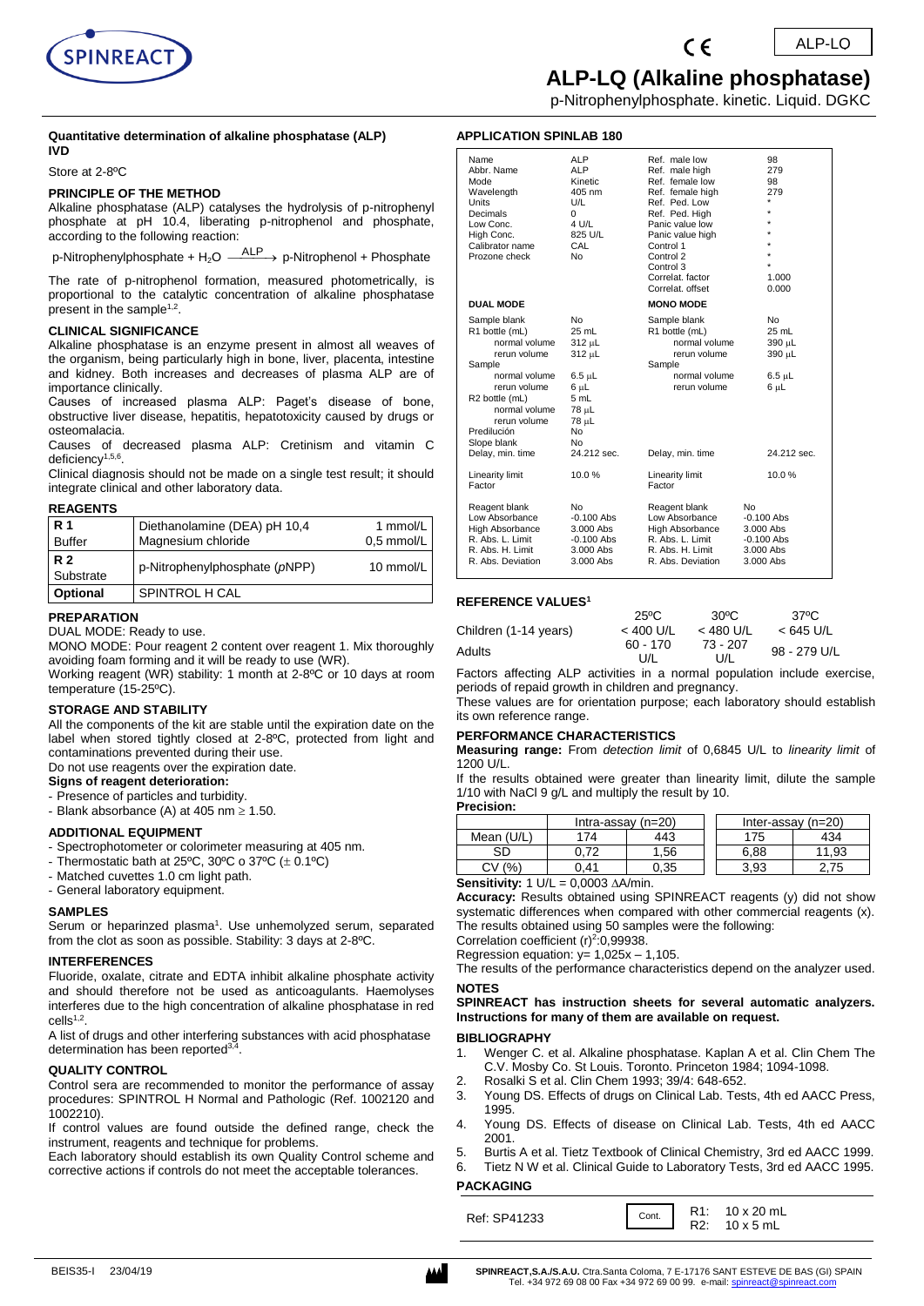

p-Nitrophenylphosphate. kinetic. Liquid. DGKC

#### **Quantitative determination of alkaline phosphatase (ALP) IVD**

Store at 2-8ºC

#### **PRINCIPLE OF THE METHOD**

Alkaline phosphatase (ALP) catalyses the hydrolysis of p-nitrophenyl phosphate at pH 10.4, liberating p-nitrophenol and phosphate, according to the following reaction:

p-Nitrophenylphosphate + H<sub>2</sub>O  $\xrightarrow{\text{ALP}}$  p-Nitrophenol + Phosphate

The rate of p-nitrophenol formation, measured photometrically, is proportional to the catalytic concentration of alkaline phosphatase present in the sample<sup>1,2</sup>.

#### **CLINICAL SIGNIFICANCE**

Alkaline phosphatase is an enzyme present in almost all weaves of the organism, being particularly high in bone, liver, placenta, intestine and kidney. Both increases and decreases of plasma ALP are of importance clinically.

Causes of increased plasma ALP: Paget's disease of bone, obstructive liver disease, hepatitis, hepatotoxicity caused by drugs or osteomalacia.

Causes of decreased plasma ALP: Cretinism and vitamin C deficiency<sup>1,5,6</sup>.

Clinical diagnosis should not be made on a single test result; it should integrate clinical and other laboratory data.

#### **REAGENTS**

| R <sub>1</sub><br><b>Buffer</b> | Diethanolamine (DEA) pH 10,4<br>Magnesium chloride | 1 mmol/L<br>0.5 mmol/L |
|---------------------------------|----------------------------------------------------|------------------------|
| <b>R2</b><br>Substrate          | p-Nitrophenylphosphate (pNPP)                      | 10 mmol/L              |
| Optional                        | SPINTROL H CAL                                     |                        |

#### **PREPARATION**

DUAL MODE: Ready to use.

MONO MODE: Pour reagent 2 content over reagent 1. Mix thoroughly avoiding foam forming and it will be ready to use (WR).

Working reagent (WR) stability: 1 month at 2-8ºC or 10 days at room temperature (15-25ºC).

#### **STORAGE AND STABILITY**

All the components of the kit are stable until the expiration date on the label when stored tightly closed at 2-8ºC, protected from light and contaminations prevented during their use.

Do not use reagents over the expiration date. **Signs of reagent deterioration:** 

# - Presence of particles and turbidity.

- Blank absorbance (A) at 405 nm  $\geq$  1.50.

#### **ADDITIONAL EQUIPMENT**

- Spectrophotometer or colorimeter measuring at 405 nm.
- Thermostatic bath at 25°C, 30°C o 37°C ( $\pm$  0.1°C)
- Matched cuvettes 1.0 cm light path.
- General laboratory equipment.

#### **SAMPLES**

Serum or heparinzed plasma<sup>1</sup>. Use unhemolyzed serum, separated from the clot as soon as possible. Stability: 3 days at 2-8ºC.

#### **INTERFERENCES**

Fluoride, oxalate, citrate and EDTA inhibit alkaline phosphate activity and should therefore not be used as anticoagulants. Haemolyses interferes due to the high concentration of alkaline phosphatase in red  $c$ ells $1,2$ .

A list of drugs and other interfering substances with acid phosphatase determination has been reported<sup>3,4</sup> .

#### **QUALITY CONTROL**

Control sera are recommended to monitor the performance of assay procedures: SPINTROL H Normal and Pathologic (Ref. 1002120 and 1002210).

If control values are found outside the defined range, check the instrument, reagents and technique for problems.

Each laboratory should establish its own Quality Control scheme and corrective actions if controls do not meet the acceptable tolerances.

# **APPLICATION SPINLAB 180**

| Name                       | <b>ALP</b>   | Ref. male low          | 98           |
|----------------------------|--------------|------------------------|--------------|
| Abbr. Name                 | <b>ALP</b>   | Ref. male high         | 279          |
| Mode                       | Kinetic      | Ref. female low        | 98           |
| Wavelength                 | 405 nm       | Ref. female high       | 279          |
| Units                      | U/L          | Ref. Ped. Low          |              |
| Decimals                   | $\mathbf 0$  | Ref. Ped. High         |              |
| Low Conc.                  | 4 U/L        | Panic value low        |              |
| High Conc.                 | 825 U/L      | Panic value high       |              |
| Calibrator name            | CAL          | Control 1              |              |
| Prozone check              | No           | Control 2              |              |
|                            |              | Control 3              |              |
|                            |              | Correlat, factor       | 1.000        |
|                            |              | Correlat, offset       | 0.000        |
| <b>DUAL MODE</b>           |              | <b>MONO MODE</b>       |              |
| Sample blank               | No           | Sample blank           | No           |
| R1 bottle (mL)             | 25 mL        | R1 bottle (mL)         | 25 mL        |
| normal volume              | $312 \mu L$  | normal volume          | 390 µL       |
| rerun volume               | $312 \mu L$  | rerun volume           | 390 µL       |
| Sample                     |              | Sample                 |              |
|                            |              |                        |              |
| normal volume              | $6.5 \mu L$  | normal volume          | $6.5 \mu L$  |
| rerun volume               | $6 \mu L$    | rerun volume           | $6 \mu L$    |
| R <sub>2</sub> bottle (mL) | 5 mL         |                        |              |
| normal volume              | 78 µL        |                        |              |
| rerun volume               | 78 µL        |                        |              |
| Predilución                | No           |                        |              |
| Slope blank                | No           |                        |              |
| Delay, min. time           | 24.212 sec.  | Delay, min. time       | 24.212 sec.  |
| Linearity limit            | 10.0%        | Linearity limit        | 10.0%        |
| Factor                     |              | Factor                 |              |
|                            |              |                        |              |
| Reagent blank              | No           | Reagent blank          | No           |
| Low Absorbance             | $-0.100$ Abs | Low Absorbance         | $-0.100$ Abs |
| <b>High Absorbance</b>     | 3.000 Abs    | <b>High Absorbance</b> | 3.000 Abs    |
| R. Abs. L. Limit           | $-0.100$ Abs | R. Abs. L. Limit       | $-0.100$ Abs |
| R. Abs. H. Limit           | 3.000 Abs    | R. Abs. H. Limit       | 3.000 Abs    |
| R. Abs. Deviation          | 3.000 Abs    | R. Abs. Deviation      | 3.000 Abs    |

#### **REFERENCE VALUES<sup>1</sup>**

|                       | $25^{\circ}$ C | $30^{\circ}$ C | 37°C         |
|-----------------------|----------------|----------------|--------------|
| Children (1-14 years) | $< 400$ U/L    | < 480 U/L      | $< 645$ U/L  |
| Adults                | 60 - 170       | 73 - 207       | 98 - 279 U/L |
|                       | U/L            | U/L            |              |

Factors affecting ALP activities in a normal population include exercise, periods of repaid growth in children and pregnancy.

These values are for orientation purpose; each laboratory should establish its own reference range.

#### **PERFORMANCE CHARACTERISTICS**

**Measuring range:** From *detection limit* of 0,6845 U/L to *linearity limit* of 1200 U/L.

If the results obtained were greater than linearity limit, dilute the sample 1/10 with NaCl 9 g/L and multiply the result by 10. **Precision:**

|            | Intra-assay $(n=20)$ |      | Inter-assay $(n=20)$ |       |
|------------|----------------------|------|----------------------|-------|
| Mean (U/L) | 74                   | 143  | 175                  | 434   |
| SD         |                      | .56  | 6.88                 | 11.93 |
| (% )<br>Cν | ገ 41                 | 0.35 | 3.93                 | 2.75  |
| .          | $0.0000 \cdot 11$    |      |                      |       |

**Sensitivity:**  $1 \text{ U/L} = 0,0003 \text{ A/min}.$ 

**Accuracy:** Results obtained using SPINREACT reagents (y) did not show systematic differences when compared with other commercial reagents (x). The results obtained using 50 samples were the following:

Correlation coefficient  $(r)^2$ :0,99938. Regression equation:  $y= 1,025x - 1,105$ .

The results of the performance characteristics depend on the analyzer used. **NOTES** 

**SPINREACT has instruction sheets for several automatic analyzers. Instructions for many of them are available on request.**

#### **BIBLIOGRAPHY**

- 1. Wenger C. et al. Alkaline phosphatase. Kaplan A et al. Clin Chem The C.V. Mosby Co. St Louis. Toronto. Princeton 1984; 1094-1098.
- 2. Rosalki S et al. Clin Chem 1993; 39/4: 648-652.
- 3. Young DS. Effects of drugs on Clinical Lab. Tests, 4th ed AACC Press, 1995.
- 4. Young DS. Effects of disease on Clinical Lab. Tests, 4th ed AACC 2001.
- 5. Burtis A et al. Tietz Textbook of Clinical Chemistry, 3rd ed AACC 1999.
- 6. Tietz N W et al. Clinical Guide to Laboratory Tests, 3rd ed AACC 1995.

# **PACKAGING**

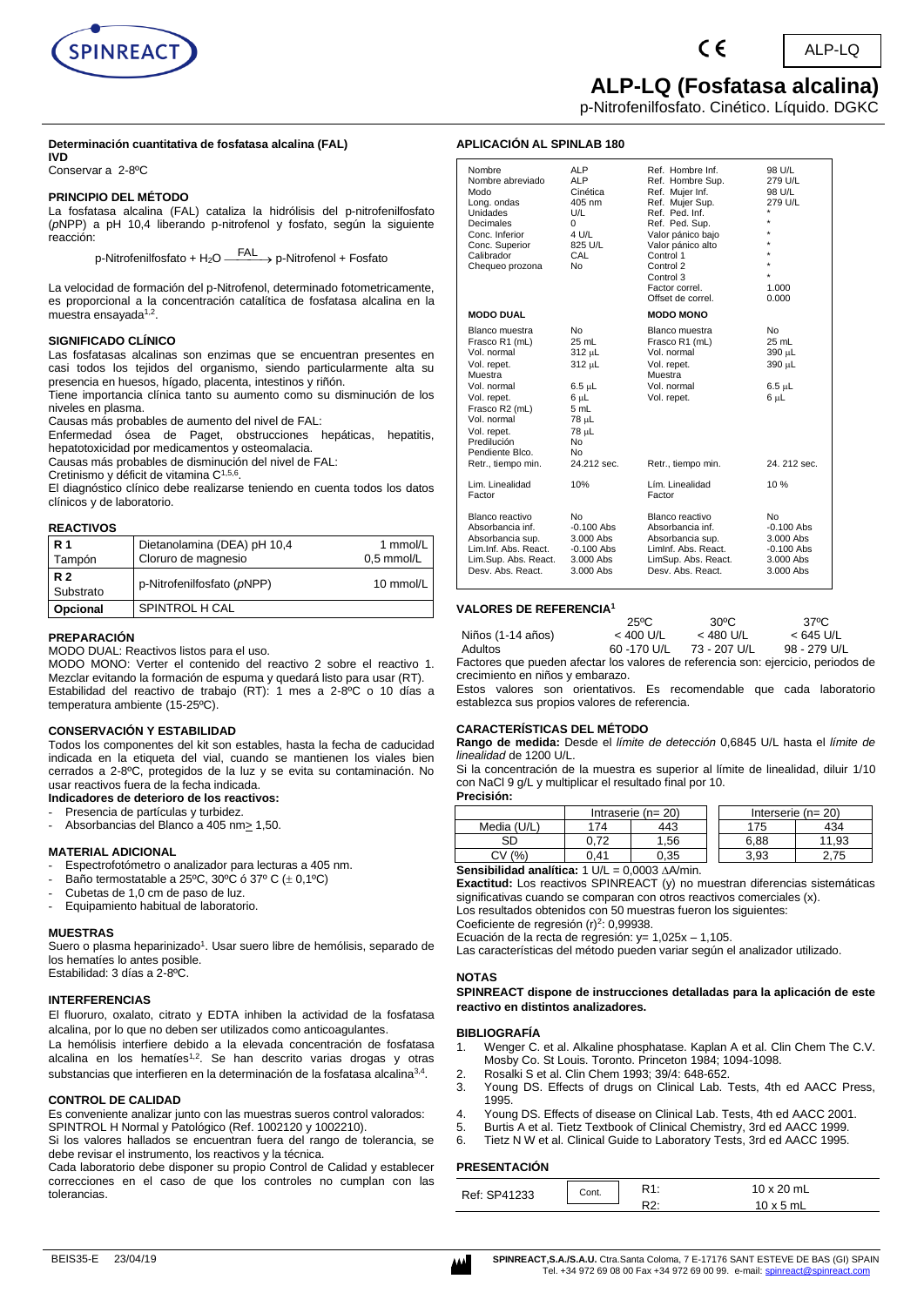

# **ALP-LQ (Fosfatasa alcalina)**

ALP-LQ

p-Nitrofenilfosfato. Cinético. Líquido. DGKC

 $\epsilon$ 

### **Determinación cuantitativa de fosfatasa alcalina (FAL)**

**IVD**

Conservar a 2-8ºC

#### **PRINCIPIO DEL MÉTODO**

La fosfatasa alcalina (FAL) cataliza la hidrólisis del p-nitrofenilfosfato (*p*NPP) a pH 10,4 liberando p-nitrofenol y fosfato, según la siguiente reacción:

p-Nitrofenilfosfato + H<sub>2</sub>O —<sup>—FAL</sup> → p-Nitrofenol + Fosfato

La velocidad de formación del p-Nitrofenol, determinado fotometricamente, es proporcional a la concentración catalítica de fosfatasa alcalina en la muestra ensayada<sup>1,2</sup>.

#### **SIGNIFICADO CLÍNICO**

Las fosfatasas alcalinas son enzimas que se encuentran presentes en casi todos los tejidos del organismo, siendo particularmente alta su presencia en huesos, hígado, placenta, intestinos y riñón.

Tiene importancia clínica tanto su aumento como su disminución de los niveles en plasma.

Causas más probables de aumento del nivel de FAL:

Enfermedad ósea de Paget, obstrucciones hepáticas, hepatitis, hepatotoxicidad por medicamentos y osteomalacia.

Causas más probables de disminución del nivel de FAL:

Cretinismo y déficit de vitamina C1,5,6 .

El diagnóstico clínico debe realizarse teniendo en cuenta todos los datos clínicos y de laboratorio.

#### **REACTIVOS**

| <b>R</b> 1<br>Tampón   | Dietanolamina (DEA) pH 10,4<br>Cloruro de magnesio | 1 mmol/L<br>$0.5$ mmol/L |
|------------------------|----------------------------------------------------|--------------------------|
| <b>R2</b><br>Substrato | p-Nitrofenilfosfato (pNPP)                         | 10 mmol/L                |
| Opcional               | SPINTROL H CAL                                     |                          |

#### **PREPARACIÓN**

MODO DUAL: Reactivos listos para el uso.

MODO MONO: Verter el contenido del reactivo 2 sobre el reactivo 1. Mezclar evitando la formación de espuma y quedará listo para usar (RT). Estabilidad del reactivo de trabajo (RT): 1 mes a 2-8ºC o 10 días a temperatura ambiente (15-25ºC).

#### **CONSERVACIÓN Y ESTABILIDAD**

Todos los componentes del kit son estables, hasta la fecha de caducidad indicada en la etiqueta del vial, cuando se mantienen los viales bien cerrados a 2-8ºC, protegidos de la luz y se evita su contaminación. No usar reactivos fuera de la fecha indicada.

#### **Indicadores de deterioro de los reactivos:**

- Presencia de partículas y turbidez.
- Absorbancias del Blanco a 405 nm > 1,50.

#### **MATERIAL ADICIONAL**

- Espectrofotómetro o analizador para lecturas a 405 nm.
- Baño termostatable a 25°C, 30°C ó 37° C  $(\pm 0, 1^{\circ}C)$
- Cubetas de 1,0 cm de paso de luz.
- Equipamiento habitual de laboratorio.

#### **MUESTRAS**

Suero o plasma heparinizado<sup>1</sup>. Usar suero libre de hemólisis, separado de los hematíes lo antes posible. Estabilidad: 3 días a 2-8ºC.

#### **INTERFERENCIAS**

El fluoruro, oxalato, citrato y EDTA inhiben la actividad de la fosfatasa alcalina, por lo que no deben ser utilizados como anticoagulantes.

La hemólisis interfiere debido a la elevada concentración de fosfatasa alcalina en los hematíes<sup>1,2</sup>. Se han descrito varias drogas y otras substancias que interfieren en la determinación de la fosfatasa alcalina<sup>3,4</sup>.

#### **CONTROL DE CALIDAD**

Es conveniente analizar junto con las muestras sueros control valorados: SPINTROL H Normal y Patológico (Ref. 1002120 y 1002210).

Si los valores hallados se encuentran fuera del rango de tolerancia, se debe revisar el instrumento, los reactivos y la técnica.

Cada laboratorio debe disponer su propio Control de Calidad y establecer correcciones en el caso de que los controles no cumplan con las tolerancias.

### **APLICACIÓN AL SPINLAB 180**

| Nombre<br>Nombre abreviado<br>Modo<br>Long. ondas<br>Unidades<br>Decimales<br>Conc. Inferior<br>Conc. Superior<br>Calibrador<br>Chequeo prozona                                                                 | ALP<br><b>ALP</b><br>Cinética<br>$405 \text{ nm}$<br>U/L<br>0<br>4 U/L<br>825 U/L<br>CAL<br>No         | Ref. Hombre Inf.<br>Ref. Hombre Sup.<br>Ref. Mujer Inf.<br>Ref. Mujer Sup.<br>Ref. Ped. Inf.<br>Ref. Ped. Sup.<br>Valor pánico bajo<br>Valor pánico alto<br>Control 1<br>Control 2<br>Control 3<br>Factor correl.<br>Offset de correl. | 98 U/L<br>279 U/L<br>98 U/L<br>279 U/L<br>$\star$<br>$\star$<br>$\star$<br>$\star$<br>1.000<br>0.000 |
|-----------------------------------------------------------------------------------------------------------------------------------------------------------------------------------------------------------------|--------------------------------------------------------------------------------------------------------|----------------------------------------------------------------------------------------------------------------------------------------------------------------------------------------------------------------------------------------|------------------------------------------------------------------------------------------------------|
| <b>MODO DUAL</b>                                                                                                                                                                                                |                                                                                                        | <b>MODO MONO</b>                                                                                                                                                                                                                       |                                                                                                      |
| Blanco muestra<br>Frasco R1 (mL)<br>Vol. normal<br>Vol. repet.<br>Muestra<br>Vol. normal<br>Vol. repet.<br>Frasco R2 (mL)<br>Vol. normal<br>Vol. repet.<br>Predilución<br>Pendiente Blco.<br>Retr., tiempo min. | No<br>25 mL<br>312 µL<br>312 µL<br>6.5 սԼ<br>6 սԼ<br>5 mL<br>78 սԼ<br>78 սԼ<br>No<br>No<br>24.212 sec. | Blanco muestra<br>Frasco R1 (mL)<br>Vol. normal<br>Vol. repet.<br>Muestra<br>Vol. normal<br>Vol. repet.<br>Retr., tiempo min.                                                                                                          | <b>No</b><br>25 mL<br>390 µL<br>390 µL<br>$6.5 \mu L$<br>6 սԼ<br>24. 212 sec.                        |
| Lim. Linealidad<br>Factor                                                                                                                                                                                       | 10%                                                                                                    | Lím. Linealidad<br>Factor                                                                                                                                                                                                              | 10%                                                                                                  |
| Blanco reactivo<br>Absorbancia inf.<br>Absorbancia sup.<br>Lim.Inf. Abs. React.<br>Lim.Sup. Abs. React.<br>Desy, Abs. React.                                                                                    | No<br>$-0.100$ Abs<br>3.000 Abs<br>$-0.100$ Abs<br>3.000 Abs<br>3.000 Abs                              | Blanco reactivo<br>Absorbancia inf.<br>Absorbancia sup.<br>Liminf, Abs. React.<br>LimSup. Abs. React.<br>Desy. Abs. React.                                                                                                             | No<br>$-0.100$ Abs<br>3.000 Abs<br>$-0.100$ Abs<br>3.000 Abs<br>3.000 Abs                            |

#### **VALORES DE REFERENCIA<sup>1</sup>**

|                   | 25°C        | $30^{\circ}$ C | 37°C         |
|-------------------|-------------|----------------|--------------|
| Niños (1-14 años) | $< 400$ U/L | $<$ 480 U/L    | < 645 U/L    |
| Adultos           | 60 -170 U/L | 73 - 207 U/L   | 98 - 279 U/L |

Factores que pueden afectar los valores de referencia son: ejercicio, periodos de crecimiento en niños y embarazo.

Estos valores son orientativos. Es recomendable que cada laboratorio establezca sus propios valores de referencia.

#### **CARACTERÍSTICAS DEL MÉTODO**

**Rango de medida:** Desde el *límite de detección* 0,6845 U/L hasta el *límite de linealidad* de 1200 U/L.

Si la concentración de la muestra es superior al límite de linealidad, diluir 1/10 con NaCl 9 g/L y multiplicar el resultado final por 10.

**Precisión:**

|                              | Intraserie $(n=20)$ |      | Interserie $(n=20)$ |       |
|------------------------------|---------------------|------|---------------------|-------|
| Media (U/L)                  | 174                 | 443  | 75                  | 434   |
| SD                           | 0.72                | .56  | 6.88                | 11.93 |
| (%                           | 0.41                | 0.35 | 3.93                |       |
| -- -<br>-- --- - -<br>$\sim$ | .                   | .    |                     |       |

**Sensibilidad analítica:** 1 U/L = 0,0003 A/min.

**Exactitud:** Los reactivos SPINREACT (y) no muestran diferencias sistemáticas significativas cuando se comparan con otros reactivos comerciales (x).

Los resultados obtenidos con 50 muestras fueron los siguientes:

Coeficiente de regresión (r)<sup>2</sup>: 0,99938. Ecuación de la recta de regresión: y= 1,025x - 1,105.

Las características del método pueden variar según el analizador utilizado.

#### **NOTAS**

**SPINREACT dispone de instrucciones detalladas para la aplicación de este reactivo en distintos analizadores.**

#### **BIBLIOGRAFÍA**

- 1. Wenger C. et al. Alkaline phosphatase. Kaplan A et al. Clin Chem The C.V. Mosby Co. St Louis. Toronto. Princeton 1984; 1094-1098.
- 
- 2. Rosalki S et al. Clin Chem 1993; 39/4: 648-652. 3. Young DS. Effects of drugs on Clinical Lab. Tests, 4th ed AACC Press, 1995.
- 4. Young DS. Effects of disease on Clinical Lab. Tests, 4th ed AACC 2001.
- 5. Burtis A et al. Tietz Textbook of Clinical Chemistry, 3rd ed AACC 1999.
- 6. Tietz N W et al. Clinical Guide to Laboratory Tests, 3rd ed AACC 1995.

#### **PRESENTACIÓN**

| Ref: SP41233 | Cont. | D <sub>4</sub> | $10 \times 20$ mL |
|--------------|-------|----------------|-------------------|
|              |       | הם.<br>$\sim$  | $10 \times 5$ mL  |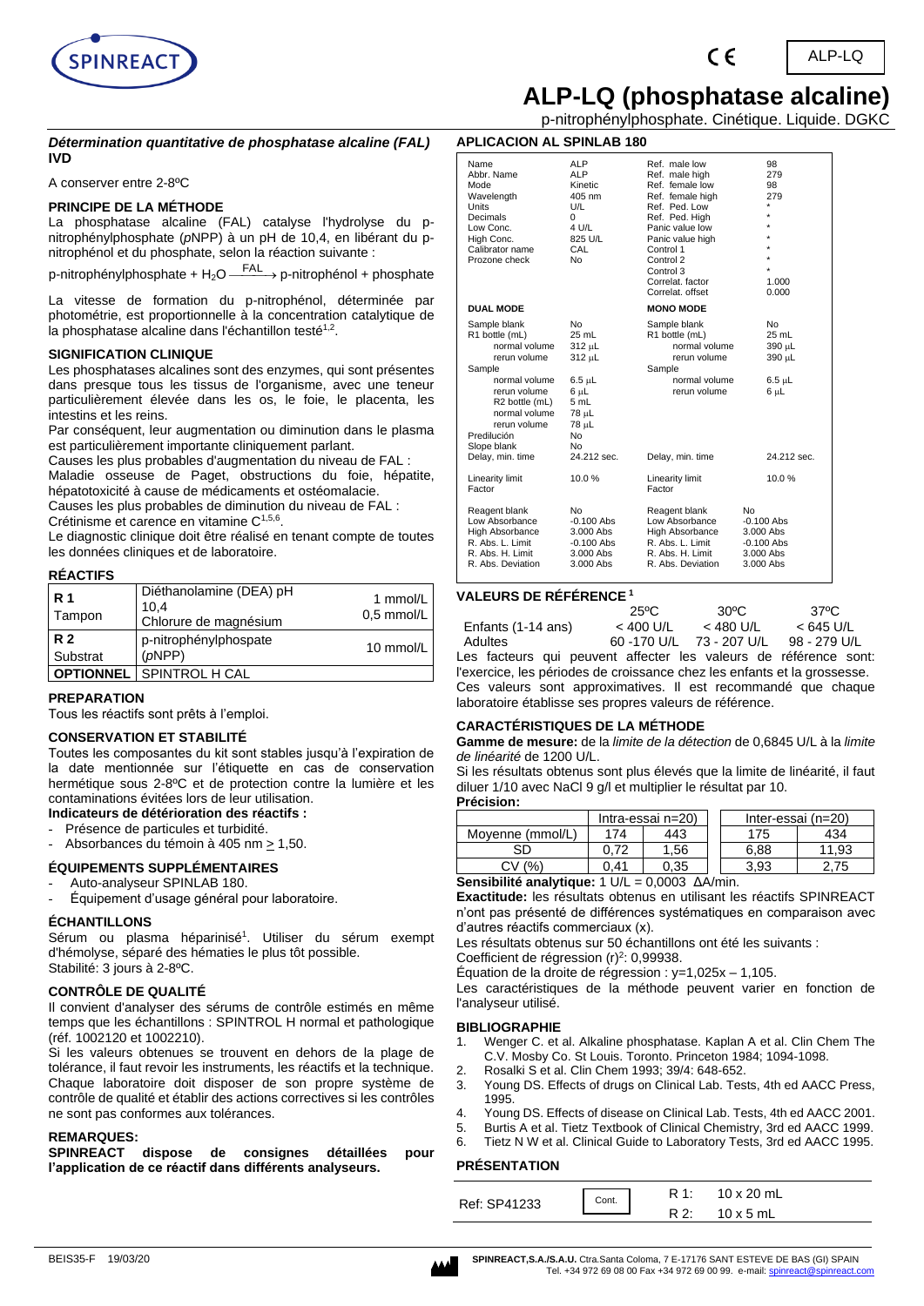

# **ALP-LQ (phosphatase alcaline)**

ALP-LQ

p-nitrophénylphosphate. Cinétique. Liquide. DGKC

#### *Détermination quantitative de phosphatase alcaline (FAL)* **IVD**

A conserver entre 2-8ºC

### **PRINCIPE DE LA MÉTHODE**

La phosphatase alcaline (FAL) catalyse l'hydrolyse du pnitrophénylphosphate (*p*NPP) à un pH de 10,4, en libérant du pnitrophénol et du phosphate, selon la réaction suivante :

p-nitrophénylphosphate + H<sub>2</sub>O <sup>FAL</sup> > p-nitrophénol + phosphate

La vitesse de formation du p-nitrophénol, déterminée par photométrie, est proportionnelle à la concentration catalytique de la phosphatase alcaline dans l'échantillon testé<sup>1,2</sup>.

#### **SIGNIFICATION CLINIQUE**

Les phosphatases alcalines sont des enzymes, qui sont présentes dans presque tous les tissus de l'organisme, avec une teneur particulièrement élevée dans les os, le foie, le placenta, les intestins et les reins.

Par conséquent, leur augmentation ou diminution dans le plasma est particulièrement importante cliniquement parlant.

Causes les plus probables d'augmentation du niveau de FAL : Maladie osseuse de Paget, obstructions du foie, hépatite,

hépatotoxicité à cause de médicaments et ostéomalacie. Causes les plus probables de diminution du niveau de FAL :

Crétinisme et carence en vitamine C<sup>1,5,6</sup>.

Le diagnostic clinique doit être réalisé en tenant compte de toutes les données cliniques et de laboratoire.

#### **RÉACTIFS**

| <b>R</b> 1<br>Tampon  | Diéthanolamine (DEA) pH<br>10.4<br>Chlorure de magnésium | 1 mmol/L<br>$0.5$ mmol/L |
|-----------------------|----------------------------------------------------------|--------------------------|
| <b>R2</b><br>Substrat | p-nitrophénylphospate<br>(pNPP)                          | 10 mmol/L                |
| <b>OPTIONNEL</b>      | SPINTROL H CAL                                           |                          |

#### **PREPARATION**

Tous les réactifs sont prêts à l'emploi.

# **CONSERVATION ET STABILITÉ**

Toutes les composantes du kit sont stables jusqu'à l'expiration de la date mentionnée sur l'étiquette en cas de conservation hermétique sous 2-8ºC et de protection contre la lumière et les contaminations évitées lors de leur utilisation.

#### **Indicateurs de détérioration des réactifs :**

Présence de particules et turbidité.

Absorbances du témoin à 405 nm > 1,50.

# **ÉQUIPEMENTS SUPPLÉMENTAIRES**

# Auto-analyseur SPINLAB 180.

- Équipement d'usage général pour laboratoire.

#### **ÉCHANTILLONS**

Sérum ou plasma héparinisé<sup>1</sup>. Utiliser du sérum exempt d'hémolyse, séparé des hématies le plus tôt possible. Stabilité: 3 jours à 2-8ºC.

#### **CONTRÔLE DE QUALITÉ**

Il convient d'analyser des sérums de contrôle estimés en même temps que les échantillons : SPINTROL H normal et pathologique (réf. 1002120 et 1002210).

Si les valeurs obtenues se trouvent en dehors de la plage de tolérance, il faut revoir les instruments, les réactifs et la technique. Chaque laboratoire doit disposer de son propre système de contrôle de qualité et établir des actions correctives si les contrôles ne sont pas conformes aux tolérances.

#### **REMARQUES:**

**SPINREACT dispose de consignes détaillées pour l'application de ce réactif dans différents analyseurs.**

| <b>APLICACION AL SPINLAB 180</b> |            |                  |                 |  |  |
|----------------------------------|------------|------------------|-----------------|--|--|
| Name                             | <b>ALP</b> | Ref. male low    | 98              |  |  |
| Abbr. Name                       | <b>ALP</b> | Ref. male high   | 27 <sup>c</sup> |  |  |
| Mode                             | Kinetic    | Ref. female low  | 98              |  |  |
| Wavelength                       | 405 nm     | Ref. female high | 27 <sup>c</sup> |  |  |
| Units                            | U/L        | Ref. Ped. Low    | $\star$         |  |  |
| Decimals                         | 0          | Ref. Ped. High   |                 |  |  |

| Low Conc.<br>High Conc.<br>Calibrator name<br>Prozone check                                                                                                                                                     | 4 U/L<br>825 U/L<br>CAL<br>No                                                                                                              | Panic value low<br>Panic value high<br>Control 1<br>Control 2<br>Control 3<br>Correlat, factor<br>Correlat, offset             | $\star$<br>$\star$<br>$\star$<br>$\star$<br>$\star$<br>1.000<br>0.000        |
|-----------------------------------------------------------------------------------------------------------------------------------------------------------------------------------------------------------------|--------------------------------------------------------------------------------------------------------------------------------------------|--------------------------------------------------------------------------------------------------------------------------------|------------------------------------------------------------------------------|
| <b>DUAL MODE</b>                                                                                                                                                                                                |                                                                                                                                            | <b>MONO MODE</b>                                                                                                               |                                                                              |
| Sample blank<br>R1 bottle (mL)<br>normal volume<br>rerun volume<br>Sample<br>normal volume<br>rerun volume<br>R2 bottle (mL)<br>normal volume<br>rerun volume<br>Predilución<br>Slope blank<br>Delay, min. time | N <sub>0</sub><br>25 mL<br>312 µL<br>312 µL<br>6.5 µL<br>6 սԼ<br>5 mL<br>78 µL<br>78 µL<br>N <sub>0</sub><br>N <sub>0</sub><br>24.212 sec. | Sample blank<br>R1 bottle (mL)<br>normal volume<br>rerun volume<br>Sample<br>normal volume<br>rerun volume<br>Delay, min. time | N <sub>0</sub><br>25 mL<br>390 µL<br>390 µL<br>6.5 սԼ<br>6 uL<br>24.212 sec. |
|                                                                                                                                                                                                                 |                                                                                                                                            |                                                                                                                                |                                                                              |
| Linearity limit<br>Factor                                                                                                                                                                                       | 10.0%                                                                                                                                      | Linearity limit<br>Factor                                                                                                      | 10.0%                                                                        |
| Reagent blank<br>Low Absorbance<br><b>High Absorbance</b><br>R. Abs. L. Limit<br>R. Abs. H. Limit<br>R. Abs. Deviation                                                                                          | <b>No</b><br>$-0.100$ Abs<br>3.000 Abs<br>$-0.100$ Abs<br>3.000 Abs<br>3.000 Abs                                                           | Reagent blank<br>Low Absorbance<br>High Absorbance<br>R. Abs. L. Limit<br>R. Abs. H. Limit<br>R. Abs. Deviation                | No<br>$-0.100$ Abs<br>3.000 Abs<br>$-0.100$ Abs<br>3.000 Abs<br>3.000 Abs    |

# **VALEURS DE RÉFÉRENCE <sup>1</sup>**

|                                                                 | 25°C        | $30^{\circ}$ C           | 37°C         |
|-----------------------------------------------------------------|-------------|--------------------------|--------------|
| Enfants (1-14 ans)                                              | $< 400$ U/L | $<$ 480 U/L              | $< 645$ U/L  |
| Adultes                                                         |             | 60 -170 U/L 73 - 207 U/L | 98 - 279 U/L |
| Les footeurs qui nouvent offector les valours de référence sont |             |                          |              |

Les facteurs qui peuvent affecter les valeurs de référence sont: l'exercice, les périodes de croissance chez les enfants et la grossesse. Ces valeurs sont approximatives. Il est recommandé que chaque laboratoire établisse ses propres valeurs de référence.

#### **CARACTÉRISTIQUES DE LA MÉTHODE**

**Gamme de mesure:** de la *limite de la détection* de 0,6845 U/L à la *limite de linéarité* de 1200 U/L.

Si les résultats obtenus sont plus élevés que la limite de linéarité, il faut diluer 1/10 avec NaCl 9 g/l et multiplier le résultat par 10. **Précision:**

|                  | Intra-essai n=20) |      |      | Inter-essai (n=20) |
|------------------|-------------------|------|------|--------------------|
| Movenne (mmol/L) | 174               | 443  | 175  | 434                |
| SD               |                   | .56  | 6.88 | 11.93              |
| %                | 0.41              | 0.35 | 3.93 |                    |

**Sensibilité analytique:** 1 U/L = 0,0003 ΔA/min.

**Exactitude:** les résultats obtenus en utilisant les réactifs SPINREACT n'ont pas présenté de différences systématiques en comparaison avec d'autres réactifs commerciaux (x).

Les résultats obtenus sur 50 échantillons ont été les suivants :

Coefficient de régression  $(r)^2$ : 0,99938.

Équation de la droite de régression :  $y=1,025x-1,105$ .

Les caractéristiques de la méthode peuvent varier en fonction de l'analyseur utilisé.

#### **BIBLIOGRAPHIE**

- 1. Wenger C. et al. Alkaline phosphatase. Kaplan A et al. Clin Chem The C.V. Mosby Co. St Louis. Toronto. Princeton 1984; 1094-1098.
- 2. Rosalki S et al. Clin Chem 1993; 39/4: 648-652.
- 3. Young DS. Effects of drugs on Clinical Lab. Tests, 4th ed AACC Press, 1995.
- 4. Young DS. Effects of disease on Clinical Lab. Tests, 4th ed AACC 2001.<br>5. Burtis A et al. Tietz Textbook of Clinical Chemistry, 3rd ed AACC 1999.
- 5. Burtis A et al. Tietz Textbook of Clinical Chemistry, 3rd ed AACC 1999.
- 6. Tietz N W et al. Clinical Guide to Laboratory Tests, 3rd ed AACC 1995.

#### **PRÉSENTATION**

| Ref: SP41233 | Cont. | R 1: | 10 x 20 mL       |
|--------------|-------|------|------------------|
|              |       |      | $10 \times 5$ mL |